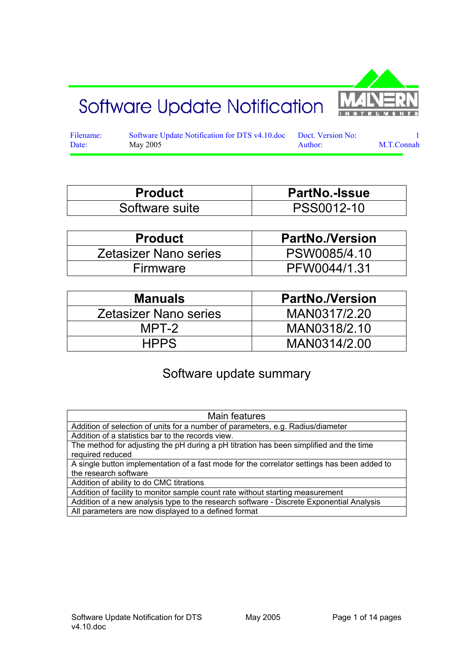# Software Update Notification



Filename: Software Update Notification for DTS v4.10.doc Doct. Version No: 1<br>Date: May 2005 Maxwell Author: M.T.Connah Date: May 2005 May 2005 Author: M.T.Connah

| <b>Product</b> | <b>PartNo.-Issue</b> |
|----------------|----------------------|
| Software suite | PSS0012-10           |

| <b>Product</b>               | <b>PartNo./Version</b> |
|------------------------------|------------------------|
| <b>Zetasizer Nano series</b> | PSW0085/4.10           |
| Firmware                     | PFW0044/1.31           |

| <b>Manuals</b>        | <b>PartNo./Version</b> |
|-----------------------|------------------------|
| Zetasizer Nano series | MAN0317/2.20           |
| MPT-2                 | MAN0318/2.10           |
| <b>HPPS</b>           | MAN0314/2.00           |

## Software update summary

| Main features                                                                                                        |
|----------------------------------------------------------------------------------------------------------------------|
| Addition of selection of units for a number of parameters, e.g. Radius/diameter                                      |
| Addition of a statistics bar to the records view.                                                                    |
| The method for adjusting the pH during a pH titration has been simplified and the time<br>required reduced           |
| A single button implementation of a fast mode for the correlator settings has been added to<br>the research software |
| Addition of ability to do CMC titrations                                                                             |
| Addition of facility to monitor sample count rate without starting measurement                                       |
| Addition of a new analysis type to the research software - Discrete Exponential Analysis                             |
| All parameters are now displayed to a defined format                                                                 |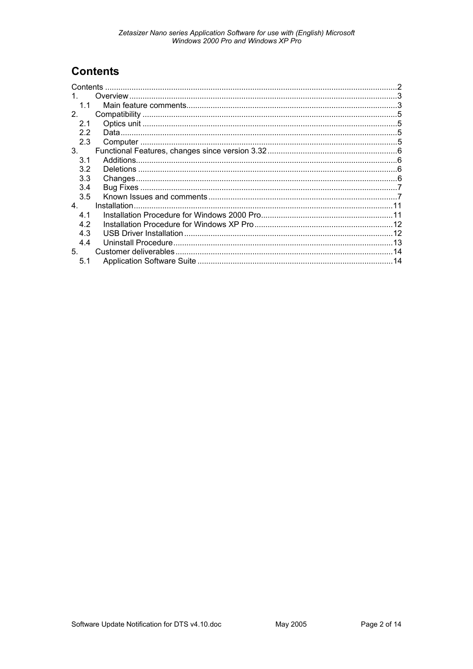## **Contents**

| Contents       |               |  |
|----------------|---------------|--|
| $\mathbf 1$    |               |  |
| 1.1            |               |  |
| 2 <sub>1</sub> |               |  |
| 2.1            |               |  |
| 2.2            |               |  |
| 2.3            |               |  |
| 3.             |               |  |
| 3.1            |               |  |
| 3.2            |               |  |
| 3.3            |               |  |
| 3.4            |               |  |
| 3.5            |               |  |
| 4.             | Installation. |  |
| 4.1            |               |  |
| 4.2            |               |  |
| 4.3            |               |  |
| 4.4            |               |  |
| 5.             |               |  |
| 5.1            |               |  |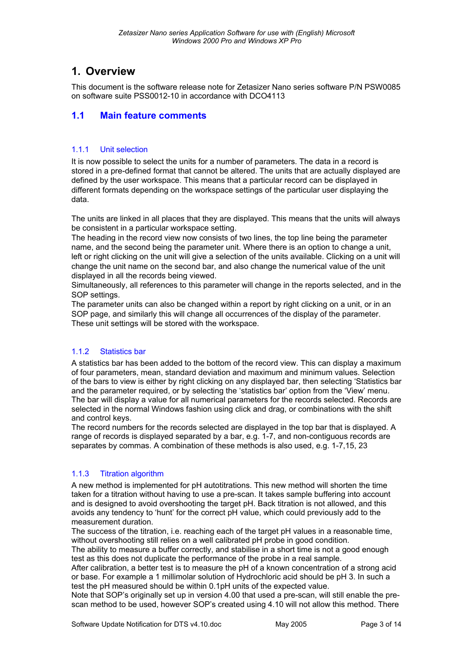## **1. Overview**

This document is the software release note for Zetasizer Nano series software P/N PSW0085 on software suite PSS0012-10 in accordance with DCO4113

## **1.1 Main feature comments**

## 1.1.1 Unit selection

It is now possible to select the units for a number of parameters. The data in a record is stored in a pre-defined format that cannot be altered. The units that are actually displayed are defined by the user workspace. This means that a particular record can be displayed in different formats depending on the workspace settings of the particular user displaying the data.

The units are linked in all places that they are displayed. This means that the units will always be consistent in a particular workspace setting.

The heading in the record view now consists of two lines, the top line being the parameter name, and the second being the parameter unit. Where there is an option to change a unit, left or right clicking on the unit will give a selection of the units available. Clicking on a unit will change the unit name on the second bar, and also change the numerical value of the unit displayed in all the records being viewed.

Simultaneously, all references to this parameter will change in the reports selected, and in the SOP settings.

The parameter units can also be changed within a report by right clicking on a unit, or in an SOP page, and similarly this will change all occurrences of the display of the parameter. These unit settings will be stored with the workspace.

## 1.1.2 Statistics bar

A statistics bar has been added to the bottom of the record view. This can display a maximum of four parameters, mean, standard deviation and maximum and minimum values. Selection of the bars to view is either by right clicking on any displayed bar, then selecting 'Statistics bar and the parameter required, or by selecting the 'statistics bar' option from the 'View' menu. The bar will display a value for all numerical parameters for the records selected. Records are selected in the normal Windows fashion using click and drag, or combinations with the shift and control keys.

The record numbers for the records selected are displayed in the top bar that is displayed. A range of records is displayed separated by a bar, e.g. 1-7, and non-contiguous records are separates by commas. A combination of these methods is also used, e.g. 1-7,15, 23

## 1.1.3 Titration algorithm

A new method is implemented for pH autotitrations. This new method will shorten the time taken for a titration without having to use a pre-scan. It takes sample buffering into account and is designed to avoid overshooting the target pH. Back titration is not allowed, and this avoids any tendency to 'hunt' for the correct pH value, which could previously add to the measurement duration.

The success of the titration, i.e. reaching each of the target pH values in a reasonable time, without overshooting still relies on a well calibrated pH probe in good condition.

The ability to measure a buffer correctly, and stabilise in a short time is not a good enough test as this does not duplicate the performance of the probe in a real sample.

After calibration, a better test is to measure the pH of a known concentration of a strong acid or base. For example a 1 millimolar solution of Hydrochloric acid should be pH 3. In such a test the pH measured should be within 0.1pH units of the expected value.

Note that SOP's originally set up in version 4.00 that used a pre-scan, will still enable the prescan method to be used, however SOP's created using 4.10 will not allow this method. There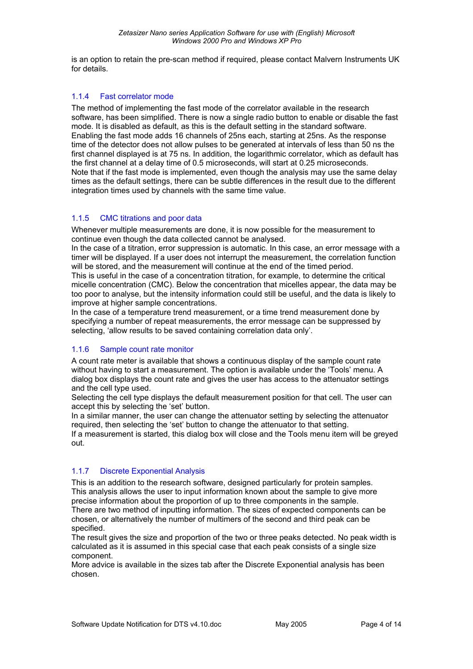is an option to retain the pre-scan method if required, please contact Malvern Instruments UK for details.

#### 1.1.4 Fast correlator mode

The method of implementing the fast mode of the correlator available in the research software, has been simplified. There is now a single radio button to enable or disable the fast mode. It is disabled as default, as this is the default setting in the standard software. Enabling the fast mode adds 16 channels of 25ns each, starting at 25ns. As the response time of the detector does not allow pulses to be generated at intervals of less than 50 ns the first channel displayed is at 75 ns. In addition, the logarithmic correlator, which as default has the first channel at a delay time of 0.5 microseconds, will start at 0.25 microseconds. Note that if the fast mode is implemented, even though the analysis may use the same delay times as the default settings, there can be subtle differences in the result due to the different integration times used by channels with the same time value.

#### 1.1.5 CMC titrations and poor data

Whenever multiple measurements are done, it is now possible for the measurement to continue even though the data collected cannot be analysed.

In the case of a titration, error suppression is automatic. In this case, an error message with a timer will be displayed. If a user does not interrupt the measurement, the correlation function will be stored, and the measurement will continue at the end of the timed period.

This is useful in the case of a concentration titration, for example, to determine the critical micelle concentration (CMC). Below the concentration that micelles appear, the data may be too poor to analyse, but the intensity information could still be useful, and the data is likely to improve at higher sample concentrations.

In the case of a temperature trend measurement, or a time trend measurement done by specifying a number of repeat measurements, the error message can be suppressed by selecting, 'allow results to be saved containing correlation data only'.

## 1.1.6 Sample count rate monitor

A count rate meter is available that shows a continuous display of the sample count rate without having to start a measurement. The option is available under the 'Tools' menu. A dialog box displays the count rate and gives the user has access to the attenuator settings and the cell type used.

Selecting the cell type displays the default measurement position for that cell. The user can accept this by selecting the 'set' button.

In a similar manner, the user can change the attenuator setting by selecting the attenuator required, then selecting the 'set' button to change the attenuator to that setting.

If a measurement is started, this dialog box will close and the Tools menu item will be greyed out.

## 1.1.7 Discrete Exponential Analysis

This is an addition to the research software, designed particularly for protein samples. This analysis allows the user to input information known about the sample to give more precise information about the proportion of up to three components in the sample. There are two method of inputting information. The sizes of expected components can be chosen, or alternatively the number of multimers of the second and third peak can be specified.

The result gives the size and proportion of the two or three peaks detected. No peak width is calculated as it is assumed in this special case that each peak consists of a single size component.

More advice is available in the sizes tab after the Discrete Exponential analysis has been chosen.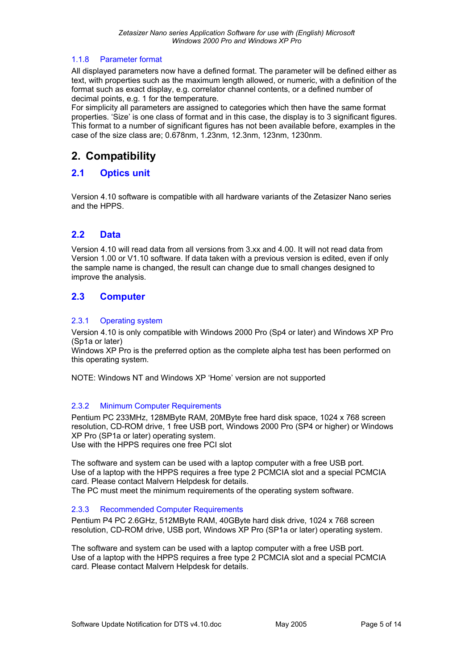#### 1.1.8 Parameter format

All displayed parameters now have a defined format. The parameter will be defined either as text, with properties such as the maximum length allowed, or numeric, with a definition of the format such as exact display, e.g. correlator channel contents, or a defined number of decimal points, e.g. 1 for the temperature.

For simplicity all parameters are assigned to categories which then have the same format properties. 'Size' is one class of format and in this case, the display is to 3 significant figures. This format to a number of significant figures has not been available before, examples in the case of the size class are; 0.678nm, 1.23nm, 12.3nm, 123nm, 1230nm.

## **2. Compatibility**

## **2.1 Optics unit**

Version 4.10 software is compatible with all hardware variants of the Zetasizer Nano series and the HPPS.

## **2.2 Data**

Version 4.10 will read data from all versions from 3.xx and 4.00. It will not read data from Version 1.00 or V1.10 software. If data taken with a previous version is edited, even if only the sample name is changed, the result can change due to small changes designed to improve the analysis.

## **2.3 Computer**

#### 2.3.1 Operating system

Version 4.10 is only compatible with Windows 2000 Pro (Sp4 or later) and Windows XP Pro (Sp1a or later)

Windows XP Pro is the preferred option as the complete alpha test has been performed on this operating system.

NOTE: Windows NT and Windows XP 'Home' version are not supported

#### 2.3.2 Minimum Computer Requirements

Pentium PC 233MHz, 128MByte RAM, 20MByte free hard disk space, 1024 x 768 screen resolution, CD-ROM drive, 1 free USB port, Windows 2000 Pro (SP4 or higher) or Windows XP Pro (SP1a or later) operating system.

Use with the HPPS requires one free PCI slot

The software and system can be used with a laptop computer with a free USB port. Use of a laptop with the HPPS requires a free type 2 PCMCIA slot and a special PCMCIA card. Please contact Malvern Helpdesk for details.

The PC must meet the minimum requirements of the operating system software.

#### 2.3.3 Recommended Computer Requirements

Pentium P4 PC 2.6GHz, 512MByte RAM, 40GByte hard disk drive, 1024 x 768 screen resolution, CD-ROM drive, USB port, Windows XP Pro (SP1a or later) operating system.

The software and system can be used with a laptop computer with a free USB port. Use of a laptop with the HPPS requires a free type 2 PCMCIA slot and a special PCMCIA card. Please contact Malvern Helpdesk for details.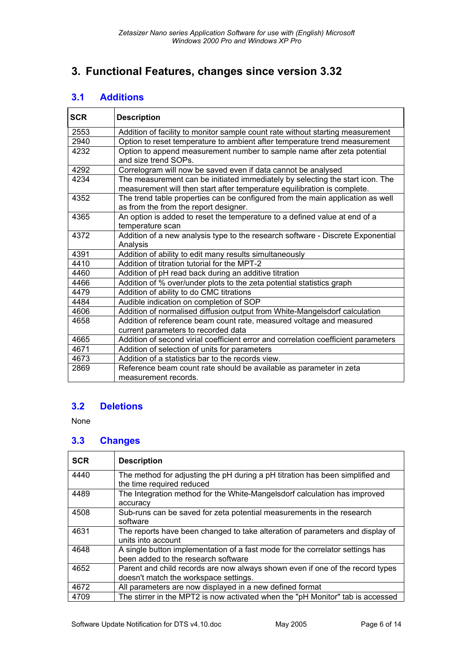## **3. Functional Features, changes since version 3.32**

## **3.1 Additions**

| <b>SCR</b> | <b>Description</b>                                                                                                                                        |
|------------|-----------------------------------------------------------------------------------------------------------------------------------------------------------|
| 2553       | Addition of facility to monitor sample count rate without starting measurement                                                                            |
| 2940       | Option to reset temperature to ambient after temperature trend measurement                                                                                |
| 4232       | Option to append measurement number to sample name after zeta potential<br>and size trend SOPs.                                                           |
| 4292       | Correlogram will now be saved even if data cannot be analysed                                                                                             |
| 4234       | The measurement can be initiated immediately by selecting the start icon. The<br>measurement will then start after temperature equilibration is complete. |
| 4352       | The trend table properties can be configured from the main application as well<br>as from the from the report designer.                                   |
| 4365       | An option is added to reset the temperature to a defined value at end of a<br>temperature scan                                                            |
| 4372       | Addition of a new analysis type to the research software - Discrete Exponential<br>Analysis                                                               |
| 4391       | Addition of ability to edit many results simultaneously                                                                                                   |
| 4410       | Addition of titration tutorial for the MPT-2                                                                                                              |
| 4460       | Addition of pH read back during an additive titration                                                                                                     |
| 4466       | Addition of % over/under plots to the zeta potential statistics graph                                                                                     |
| 4479       | Addition of ability to do CMC titrations                                                                                                                  |
| 4484       | Audible indication on completion of SOP                                                                                                                   |
| 4606       | Addition of normalised diffusion output from White-Mangelsdorf calculation                                                                                |
| 4658       | Addition of reference beam count rate, measured voltage and measured<br>current parameters to recorded data                                               |
| 4665       | Addition of second virial coefficient error and correlation coefficient parameters                                                                        |
| 4671       | Addition of selection of units for parameters                                                                                                             |
| 4673       | Addition of a statistics bar to the records view.                                                                                                         |
| 2869       | Reference beam count rate should be available as parameter in zeta                                                                                        |
|            | measurement records.                                                                                                                                      |

## **3.2 Deletions**

None

## **3.3 Changes**

| <b>SCR</b> | <b>Description</b>                                                                                                     |
|------------|------------------------------------------------------------------------------------------------------------------------|
| 4440       | The method for adjusting the pH during a pH titration has been simplified and<br>the time required reduced             |
| 4489       | The Integration method for the White-Mangelsdorf calculation has improved<br>accuracy                                  |
| 4508       | Sub-runs can be saved for zeta potential measurements in the research<br>software                                      |
| 4631       | The reports have been changed to take alteration of parameters and display of<br>units into account                    |
| 4648       | A single button implementation of a fast mode for the correlator settings has<br>been added to the research software   |
| 4652       | Parent and child records are now always shown even if one of the record types<br>doesn't match the workspace settings. |
| 4672       | All parameters are now displayed in a new defined format                                                               |
| 4709       | The stirrer in the MPT2 is now activated when the "pH Monitor" tab is accessed                                         |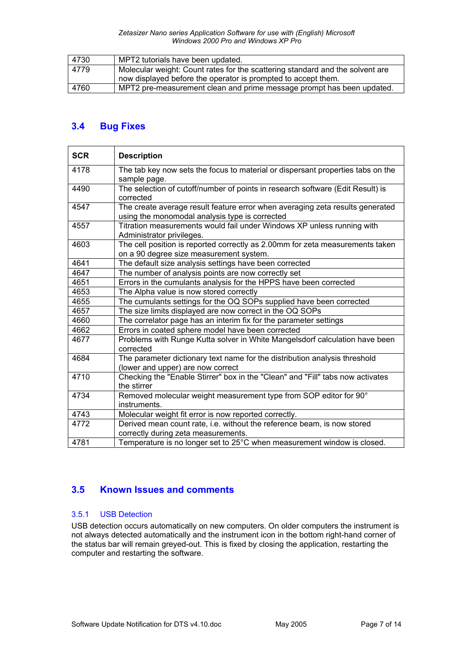| 4730 | MPT2 tutorials have been updated.                                             |
|------|-------------------------------------------------------------------------------|
| 4779 | Molecular weight: Count rates for the scattering standard and the solvent are |
|      | now displayed before the operator is prompted to accept them.                 |
| 4760 | MPT2 pre-measurement clean and prime message prompt has been updated.         |

## **3.4 Bug Fixes**

| <b>SCR</b> | <b>Description</b>                                                                                                              |
|------------|---------------------------------------------------------------------------------------------------------------------------------|
| 4178       | The tab key now sets the focus to material or dispersant properties tabs on the<br>sample page.                                 |
| 4490       | The selection of cutoff/number of points in research software (Edit Result) is<br>corrected                                     |
| 4547       | The create average result feature error when averaging zeta results generated<br>using the monomodal analysis type is corrected |
| 4557       | Titration measurements would fail under Windows XP unless running with<br>Administrator privileges.                             |
| 4603       | The cell position is reported correctly as 2.00mm for zeta measurements taken<br>on a 90 degree size measurement system.        |
| 4641       | The default size analysis settings have been corrected                                                                          |
| 4647       | The number of analysis points are now correctly set                                                                             |
| 4651       | Errors in the cumulants analysis for the HPPS have been corrected                                                               |
| 4653       | The Alpha value is now stored correctly                                                                                         |
| 4655       | The cumulants settings for the OQ SOPs supplied have been corrected                                                             |
| 4657       | The size limits displayed are now correct in the OQ SOPs                                                                        |
| 4660       | The correlator page has an interim fix for the parameter settings                                                               |
| 4662       | Errors in coated sphere model have been corrected                                                                               |
| 4677       | Problems with Runge Kutta solver in White Mangelsdorf calculation have been<br>corrected                                        |
| 4684       | The parameter dictionary text name for the distribution analysis threshold<br>(lower and upper) are now correct                 |
| 4710       | Checking the "Enable Stirrer" box in the "Clean" and "Fill" tabs now activates<br>the stirrer                                   |
| 4734       | Removed molecular weight measurement type from SOP editor for 90°<br>instruments.                                               |
| 4743       | Molecular weight fit error is now reported correctly.                                                                           |
| 4772       | Derived mean count rate, i.e. without the reference beam, is now stored<br>correctly during zeta measurements.                  |
| 4781       | Temperature is no longer set to 25°C when measurement window is closed.                                                         |

## **3.5 Known Issues and comments**

## 3.5.1 USB Detection

USB detection occurs automatically on new computers. On older computers the instrument is not always detected automatically and the instrument icon in the bottom right-hand corner of the status bar will remain greyed-out. This is fixed by closing the application, restarting the computer and restarting the software.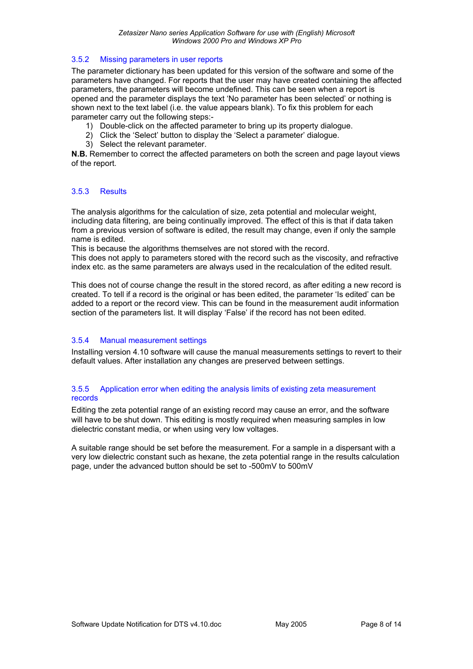#### 3.5.2 Missing parameters in user reports

The parameter dictionary has been updated for this version of the software and some of the parameters have changed. For reports that the user may have created containing the affected parameters, the parameters will become undefined. This can be seen when a report is opened and the parameter displays the text 'No parameter has been selected' or nothing is shown next to the text label (i.e. the value appears blank). To fix this problem for each parameter carry out the following steps:-

- 1) Double-click on the affected parameter to bring up its property dialogue.
- 2) Click the 'Select' button to display the 'Select a parameter' dialogue.
- 3) Select the relevant parameter.

**N.B.** Remember to correct the affected parameters on both the screen and page layout views of the report.

#### 3.5.3 Results

The analysis algorithms for the calculation of size, zeta potential and molecular weight, including data filtering, are being continually improved. The effect of this is that if data taken from a previous version of software is edited, the result may change, even if only the sample name is edited.

This is because the algorithms themselves are not stored with the record.

This does not apply to parameters stored with the record such as the viscosity, and refractive index etc. as the same parameters are always used in the recalculation of the edited result.

This does not of course change the result in the stored record, as after editing a new record is created. To tell if a record is the original or has been edited, the parameter 'Is edited' can be added to a report or the record view. This can be found in the measurement audit information section of the parameters list. It will display 'False' if the record has not been edited.

## 3.5.4 Manual measurement settings

Installing version 4.10 software will cause the manual measurements settings to revert to their default values. After installation any changes are preserved between settings.

#### 3.5.5 Application error when editing the analysis limits of existing zeta measurement records

Editing the zeta potential range of an existing record may cause an error, and the software will have to be shut down. This editing is mostly required when measuring samples in low dielectric constant media, or when using very low voltages.

A suitable range should be set before the measurement. For a sample in a dispersant with a very low dielectric constant such as hexane, the zeta potential range in the results calculation page, under the advanced button should be set to -500mV to 500mV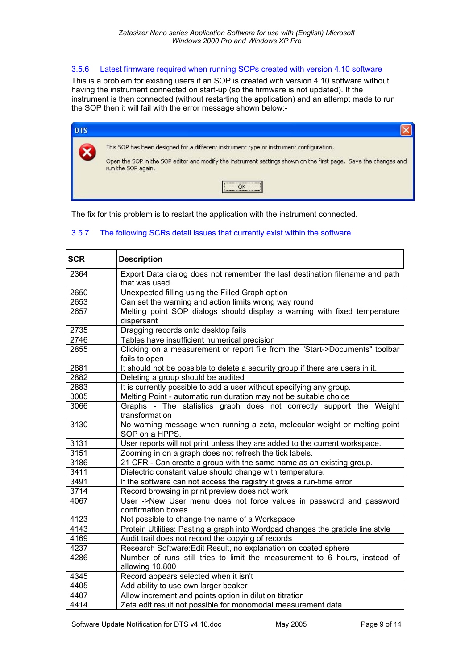#### 3.5.6 Latest firmware required when running SOPs created with version 4.10 software

This is a problem for existing users if an SOP is created with version 4.10 software without having the instrument connected on start-up (so the firmware is not updated). If the instrument is then connected (without restarting the application) and an attempt made to run the SOP then it will fail with the error message shown below:-

| <b>DTS</b> |                                                                                                                                                                                                            |
|------------|------------------------------------------------------------------------------------------------------------------------------------------------------------------------------------------------------------|
|            | This SOP has been designed for a different instrument type or instrument configuration.<br>Open the SOP in the SOP editor and modify the instrument settings shown on the first page. Save the changes and |
|            | run the SOP again.                                                                                                                                                                                         |

The fix for this problem is to restart the application with the instrument connected.

#### 3.5.7 The following SCRs detail issues that currently exist within the software.

| <b>SCR</b> | <b>Description</b>                                                                            |
|------------|-----------------------------------------------------------------------------------------------|
| 2364       | Export Data dialog does not remember the last destination filename and path<br>that was used. |
| 2650       | Unexpected filling using the Filled Graph option                                              |
| 2653       | Can set the warning and action limits wrong way round                                         |
| 2657       | Melting point SOP dialogs should display a warning with fixed temperature<br>dispersant       |
| 2735       | Dragging records onto desktop fails                                                           |
| 2746       | Tables have insufficient numerical precision                                                  |
| 2855       | Clicking on a measurement or report file from the "Start->Documents" toolbar<br>fails to open |
| 2881       | It should not be possible to delete a security group if there are users in it.                |
| 2882       | Deleting a group should be audited                                                            |
| 2883       | It is currently possible to add a user without specifying any group.                          |
| 3005       | Melting Point - automatic run duration may not be suitable choice                             |
| 3066       | Graphs - The statistics graph does not correctly support the Weight<br>transformation         |
| 3130       | No warning message when running a zeta, molecular weight or melting point<br>SOP on a HPPS.   |
| 3131       | User reports will not print unless they are added to the current workspace.                   |
| 3151       | Zooming in on a graph does not refresh the tick labels.                                       |
| 3186       | 21 CFR - Can create a group with the same name as an existing group.                          |
| 3411       | Dielectric constant value should change with temperature.                                     |
| 3491       | If the software can not access the registry it gives a run-time error                         |
| 3714       | Record browsing in print preview does not work                                                |
| 4067       | User ->New User menu does not force values in password and password<br>confirmation boxes.    |
| 4123       | Not possible to change the name of a Workspace                                                |
| 4143       | Protein Utilities: Pasting a graph into Wordpad changes the graticle line style               |
| 4169       | Audit trail does not record the copying of records                                            |
| 4237       | Research Software: Edit Result, no explanation on coated sphere                               |
| 4286       | Number of runs still tries to limit the measurement to 6 hours, instead of<br>allowing 10,800 |
| 4345       | Record appears selected when it isn't                                                         |
| 4405       | Add ability to use own larger beaker                                                          |
| 4407       | Allow increment and points option in dilution titration                                       |
| 4414       | Zeta edit result not possible for monomodal measurement data                                  |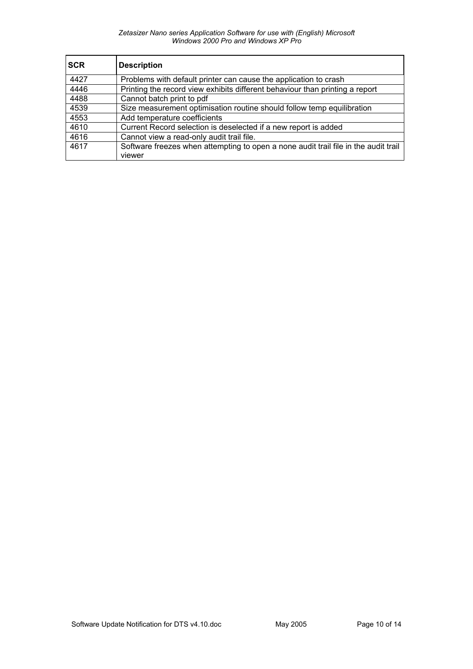#### *Zetasizer Nano series Application Software for use with (English) Microsoft Windows 2000 Pro and Windows XP Pro*

| <b>SCR</b> | <b>Description</b>                                                                  |
|------------|-------------------------------------------------------------------------------------|
| 4427       | Problems with default printer can cause the application to crash                    |
| 4446       | Printing the record view exhibits different behaviour than printing a report        |
| 4488       | Cannot batch print to pdf                                                           |
| 4539       | Size measurement optimisation routine should follow temp equilibration              |
| 4553       | Add temperature coefficients                                                        |
| 4610       | Current Record selection is deselected if a new report is added                     |
| 4616       | Cannot view a read-only audit trail file.                                           |
| 4617       | Software freezes when attempting to open a none audit trail file in the audit trail |
|            | viewer                                                                              |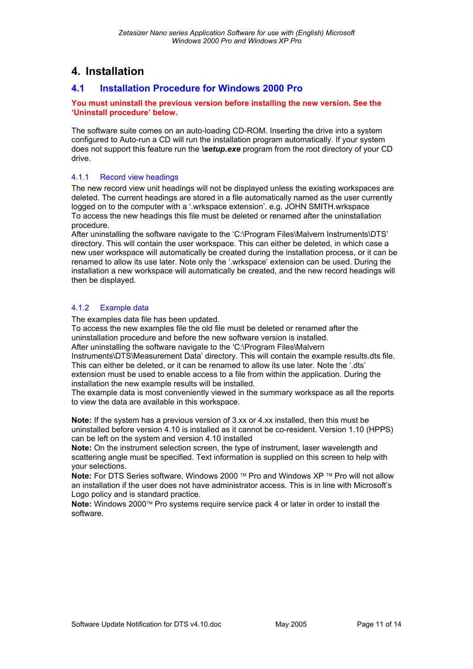## **4. Installation**

## **4.1 Installation Procedure for Windows 2000 Pro**

#### **You must uninstall the previous version before installing the new version. See the 'Uninstall procedure' below.**

The software suite comes on an auto-loading CD-ROM. Inserting the drive into a system configured to Auto-run a CD will run the installation program automatically. If your system does not support this feature run the *\setup.exe* program from the root directory of your CD drive.

#### 4.1.1 Record view headings

The new record view unit headings will not be displayed unless the existing workspaces are deleted. The current headings are stored in a file automatically named as the user currently logged on to the computer with a '.wrkspace extension'. e.g. JOHN SMITH.wrkspace To access the new headings this file must be deleted or renamed after the uninstallation procedure.

After uninstalling the software navigate to the 'C:\Program Files\Malvern Instruments\DTS' directory. This will contain the user workspace. This can either be deleted, in which case a new user workspace will automatically be created during the installation process, or it can be renamed to allow its use later. Note only the '.wrkspace' extension can be used. During the installation a new workspace will automatically be created, and the new record headings will then be displayed.

## 4.1.2 Example data

The examples data file has been updated.

To access the new examples file the old file must be deleted or renamed after the uninstallation procedure and before the new software version is installed.

After uninstalling the software navigate to the 'C:\Program Files\Malvern

Instruments\DTS\Measurement Data' directory. This will contain the example results.dts file. This can either be deleted, or it can be renamed to allow its use later. Note the '.dts' extension must be used to enable access to a file from within the application. During the installation the new example results will be installed.

The example data is most conveniently viewed in the summary workspace as all the reports to view the data are available in this workspace.

**Note:** If the system has a previous version of 3.xx or 4.xx installed, then this must be uninstalled before version 4.10 is installed as it cannot be co-resident. Version 1.10 (HPPS) can be left on the system and version 4.10 installed

**Note:** On the instrument selection screen, the type of instrument, laser wavelength and scattering angle must be specified. Text information is supplied on this screen to help with your selections.

**Note:** For DTS Series software, Windows 2000 ™ Pro and Windows XP ™ Pro will not allow an installation if the user does not have administrator access. This is in line with Microsoft's Logo policy and is standard practice.

**Note:** Windows 2000™ Pro systems require service pack 4 or later in order to install the software.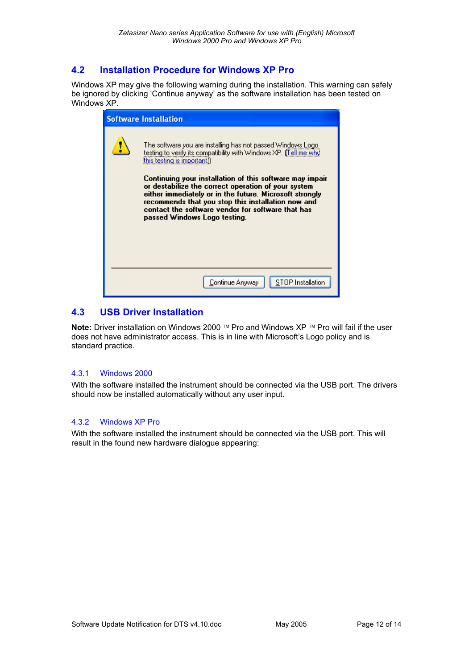## **4.2 Installation Procedure for Windows XP Pro**

Windows XP may give the following warning during the installation. This warning can safely be ignored by clicking 'Continue anyway' as the software installation has been tested on Windows XP.

| <b>Software Installation</b>                                                                                                                                                                                                                                                                                          |
|-----------------------------------------------------------------------------------------------------------------------------------------------------------------------------------------------------------------------------------------------------------------------------------------------------------------------|
| The software you are installing has not passed Windows Logo.<br>testing to verify its compatibility with Windows XP. [Tell me why<br>this testing is important.)                                                                                                                                                      |
| Continuing your installation of this software may impair<br>or destabilize the correct operation of your system<br>either immediately or in the future. Microsoft strongly<br>recommends that you stop this installation now and<br>contact the software vendor for software that has<br>passed Windows Logo testing. |
| STOP Installation<br>Continue Anyway.                                                                                                                                                                                                                                                                                 |
|                                                                                                                                                                                                                                                                                                                       |

## **4.3 USB Driver Installation**

**Note:** Driver installation on Windows 2000 ™ Pro and Windows XP ™ Pro will fail if the user does not have administrator access. This is in line with Microsoft's Logo policy and is standard practice.

## 4.3.1 Windows 2000

With the software installed the instrument should be connected via the USB port. The drivers should now be installed automatically without any user input.

#### 4.3.2 Windows XP Pro

With the software installed the instrument should be connected via the USB port. This will result in the found new hardware dialogue appearing: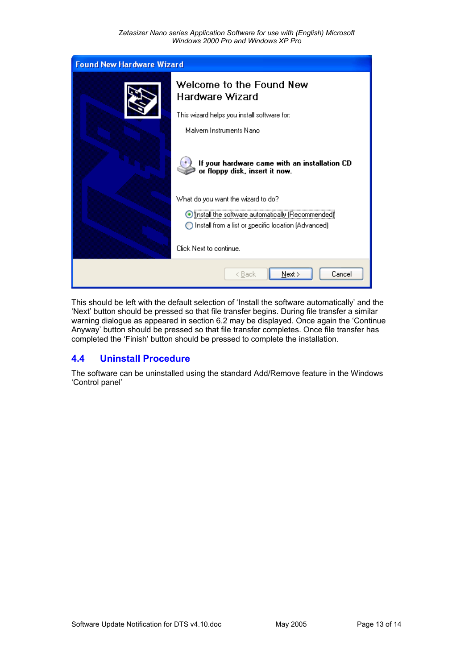

This should be left with the default selection of 'Install the software automatically' and the 'Next' button should be pressed so that file transfer begins. During file transfer a similar warning dialogue as appeared in section 6.2 may be displayed. Once again the 'Continue Anyway' button should be pressed so that file transfer completes. Once file transfer has completed the 'Finish' button should be pressed to complete the installation.

## **4.4 Uninstall Procedure**

The software can be uninstalled using the standard Add/Remove feature in the Windows 'Control panel'